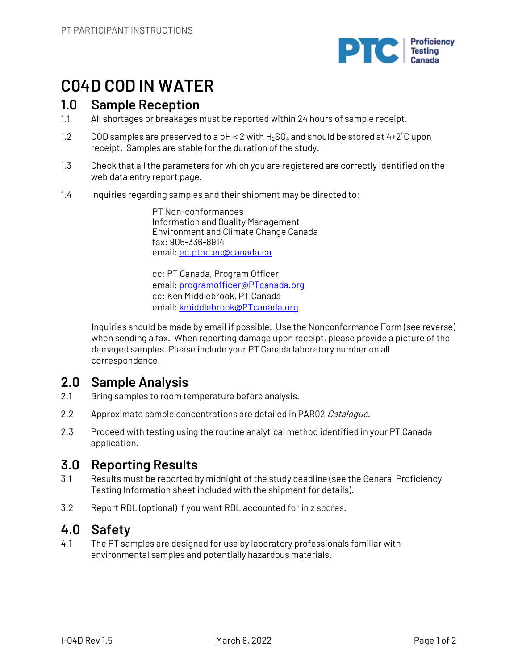

# **C04D COD IN WATER**

## **1.0 Sample Reception**

- 1.1 All shortages or breakages must be reported within 24 hours of sample receipt.
- 1.2 COD samples are preserved to a pH < 2 with  $H_2$ SO<sub>4</sub> and should be stored at  $4\pm 2^{\circ}C$  upon receipt. Samples are stable for the duration of the study.
- 1.3 Check that all the parameters for which you are registered are correctly identified on the web data entry report page.
- 1.4 Inquiries regarding samples and their shipment may be directed to:

PT Non-conformances Information and Quality Management Environment and Climate Change Canada fax: 905-336-8914 email: ec.ptnc.ec@canada.ca

cc: PT Canada, Program Officer email: programofficer@PTcanada.org cc: Ken Middlebrook, PT Canada email: kmiddlebrook@PTcanada.org

Inquiries should be made by email if possible. Use the Nonconformance Form (see reverse) when sending a fax. When reporting damage upon receipt, please provide a picture of the damaged samples. Please include your PT Canada laboratory number on all correspondence.

# **2.0 Sample Analysis**

- 2.1 Bring samples to room temperature before analysis.
- 2.2 Approximate sample concentrations are detailed in PAR02 Catalogue.
- 2.3 Proceed with testing using the routine analytical method identified in your PT Canada application.

# **3.0 Reporting Results**

- 3.1 Results must be reported by midnight of the study deadline (see the General Proficiency Testing Information sheet included with the shipment for details).
- 3.2 Report RDL (optional) if you want RDL accounted for in z scores.

## **4.0 Safety**

4.1 The PT samples are designed for use by laboratory professionals familiar with environmental samples and potentially hazardous materials.